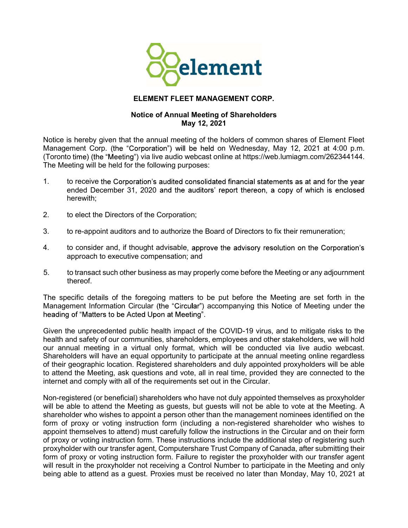

## ELEMENT FLEET MANAGEMENT CORP.

## Notice of Annual Meeting of Shareholders May 12, 2021

Notice is hereby given that the annual meeting of the holders of common shares of Element Fleet Management Corp. (the "Corporation") will be held on Wednesday, May 12, 2021 at 4:00 p.m. (Toronto time) (the "Meeting") via live audio webcast online at https://web.lumiagm.com/262344144. The Meeting will be held for the following purposes:

- 1. to receive the Corporation's audited consolidated financial statements as at and for the year ended December 31, 2020 and the auditors' report thereon, a copy of which is enclosed herewith;
- 2. to elect the Directors of the Corporation;
- 3. to re-appoint auditors and to authorize the Board of Directors to fix their remuneration;
- 4. to consider and, if thought advisable, approve the advisory resolution on the Corporation's approach to executive compensation; and
- 5. to transact such other business as may properly come before the Meeting or any adjournment thereof.

The specific details of the foregoing matters to be put before the Meeting are set forth in the Management Information Circular (the "Circular") accompanying this Notice of Meeting under the heading of "Matters to be Acted Upon at Meeting".<br>Given the unprecedented public health impact of the COVID-19 virus, and to mitigate risks to the

health and safety of our communities, shareholders, employees and other stakeholders, we will hold our annual meeting in a virtual only format, which will be conducted via live audio webcast. Shareholders will have an equal opportunity to participate at the annual meeting online regardless of their geographic location. Registered shareholders and duly appointed proxyholders will be able to attend the Meeting, ask questions and vote, all in real time, provided they are connected to the internet and comply with all of the requirements set out in the Circular.

Non-registered (or beneficial) shareholders who have not duly appointed themselves as proxyholder will be able to attend the Meeting as guests, but guests will not be able to vote at the Meeting. A shareholder who wishes to appoint a person other than the management nominees identified on the form of proxy or voting instruction form (including a non-registered shareholder who wishes to appoint themselves to attend) must carefully follow the instructions in the Circular and on their form of proxy or voting instruction form. These instructions include the additional step of registering such proxyholder with our transfer agent, Computershare Trust Company of Canada, after submitting their form of proxy or voting instruction form. Failure to register the proxyholder with our transfer agent will result in the proxyholder not receiving a Control Number to participate in the Meeting and only being able to attend as a guest. Proxies must be received no later than Monday, May 10, 2021 at